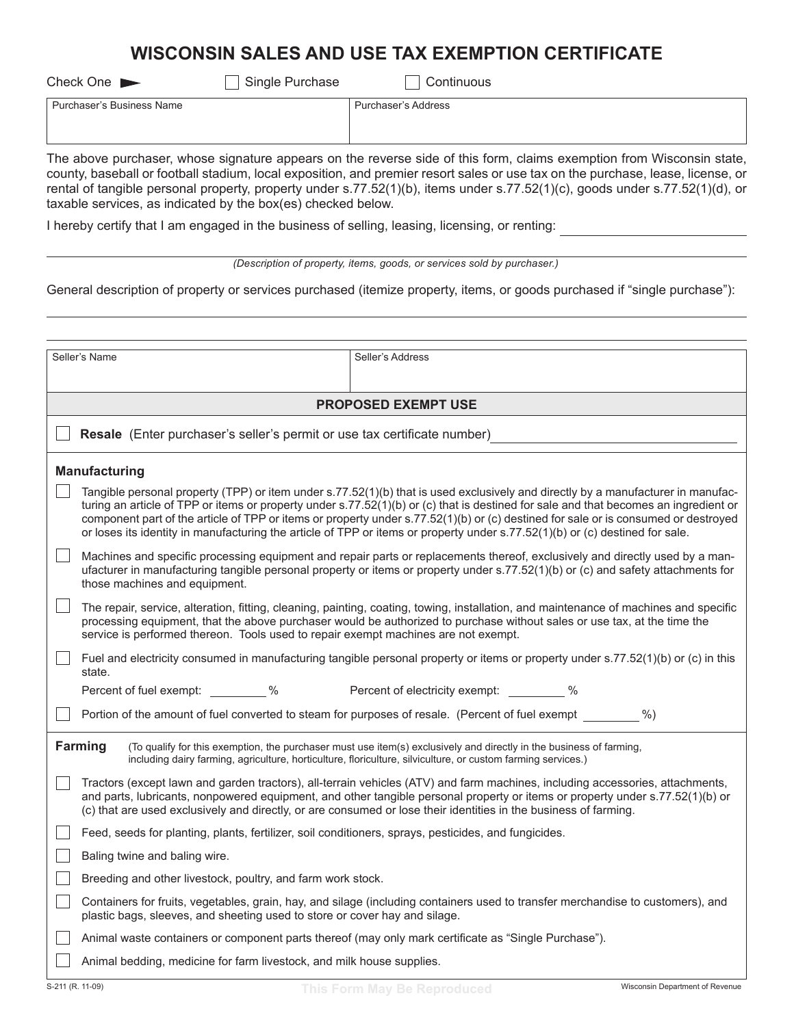# **WISCONSIN SALES AND USE TAX EXEMPTION CERTIFICATE**

Check One Single Purchase Check One Single Purchase Check One Single Purchase

Purchaser's Business Name Purchaser's Address

The above purchaser, whose signature appears on the reverse side of this form, claims exemption from Wisconsin state, county, baseball or football stadium, local exposition, and premier resort sales or use tax on the purchase, lease, license, or rental of tangible personal property, property under s.77.52(1)(b), items under s.77.52(1)(c), goods under s.77.52(1)(d), or taxable services, as indicated by the box(es) checked below.

I hereby certify that I am engaged in the business of selling, leasing, licensing, or renting:

| (Description of property, items, goods, or services sold by purchaser.) |  |  |  |
|-------------------------------------------------------------------------|--|--|--|
|                                                                         |  |  |  |
|                                                                         |  |  |  |
|                                                                         |  |  |  |

General description of property or services purchased (itemize property, items, or goods purchased if "single purchase"):

|                                                                                                                                                                                                                                                       | Seller's Name                                                                                                                                                                                                                                                                                                                                                                                                                                                                                                                                  |  |  |  |  |
|-------------------------------------------------------------------------------------------------------------------------------------------------------------------------------------------------------------------------------------------------------|------------------------------------------------------------------------------------------------------------------------------------------------------------------------------------------------------------------------------------------------------------------------------------------------------------------------------------------------------------------------------------------------------------------------------------------------------------------------------------------------------------------------------------------------|--|--|--|--|
|                                                                                                                                                                                                                                                       | Seller's Address                                                                                                                                                                                                                                                                                                                                                                                                                                                                                                                               |  |  |  |  |
|                                                                                                                                                                                                                                                       |                                                                                                                                                                                                                                                                                                                                                                                                                                                                                                                                                |  |  |  |  |
|                                                                                                                                                                                                                                                       | <b>PROPOSED EXEMPT USE</b>                                                                                                                                                                                                                                                                                                                                                                                                                                                                                                                     |  |  |  |  |
|                                                                                                                                                                                                                                                       | Resale (Enter purchaser's seller's permit or use tax certificate number)                                                                                                                                                                                                                                                                                                                                                                                                                                                                       |  |  |  |  |
|                                                                                                                                                                                                                                                       | <b>Manufacturing</b>                                                                                                                                                                                                                                                                                                                                                                                                                                                                                                                           |  |  |  |  |
|                                                                                                                                                                                                                                                       | Tangible personal property (TPP) or item under s.77.52(1)(b) that is used exclusively and directly by a manufacturer in manufac-<br>turing an article of TPP or items or property under s.77.52(1)(b) or (c) that is destined for sale and that becomes an ingredient or<br>component part of the article of TPP or items or property under s.77.52(1)(b) or (c) destined for sale or is consumed or destroyed<br>or loses its identity in manufacturing the article of TPP or items or property under s.77.52(1)(b) or (c) destined for sale. |  |  |  |  |
|                                                                                                                                                                                                                                                       | Machines and specific processing equipment and repair parts or replacements thereof, exclusively and directly used by a man-<br>ufacturer in manufacturing tangible personal property or items or property under s.77.52(1)(b) or (c) and safety attachments for<br>those machines and equipment.                                                                                                                                                                                                                                              |  |  |  |  |
|                                                                                                                                                                                                                                                       | The repair, service, alteration, fitting, cleaning, painting, coating, towing, installation, and maintenance of machines and specific<br>processing equipment, that the above purchaser would be authorized to purchase without sales or use tax, at the time the<br>service is performed thereon. Tools used to repair exempt machines are not exempt.                                                                                                                                                                                        |  |  |  |  |
|                                                                                                                                                                                                                                                       | Fuel and electricity consumed in manufacturing tangible personal property or items or property under s.77.52(1)(b) or (c) in this<br>state.                                                                                                                                                                                                                                                                                                                                                                                                    |  |  |  |  |
|                                                                                                                                                                                                                                                       | Percent of fuel exempt: %<br>Percent of electricity exempt: 46                                                                                                                                                                                                                                                                                                                                                                                                                                                                                 |  |  |  |  |
|                                                                                                                                                                                                                                                       | Portion of the amount of fuel converted to steam for purposes of resale. (Percent of fuel exempt ________ %)                                                                                                                                                                                                                                                                                                                                                                                                                                   |  |  |  |  |
| <b>Farming</b><br>(To qualify for this exemption, the purchaser must use item(s) exclusively and directly in the business of farming,<br>including dairy farming, agriculture, horticulture, floriculture, silviculture, or custom farming services.) |                                                                                                                                                                                                                                                                                                                                                                                                                                                                                                                                                |  |  |  |  |
|                                                                                                                                                                                                                                                       | Tractors (except lawn and garden tractors), all-terrain vehicles (ATV) and farm machines, including accessories, attachments,<br>and parts, lubricants, nonpowered equipment, and other tangible personal property or items or property under s.77.52(1)(b) or<br>(c) that are used exclusively and directly, or are consumed or lose their identities in the business of farming.                                                                                                                                                             |  |  |  |  |
|                                                                                                                                                                                                                                                       | Feed, seeds for planting, plants, fertilizer, soil conditioners, sprays, pesticides, and fungicides.                                                                                                                                                                                                                                                                                                                                                                                                                                           |  |  |  |  |
|                                                                                                                                                                                                                                                       | Baling twine and baling wire.                                                                                                                                                                                                                                                                                                                                                                                                                                                                                                                  |  |  |  |  |
|                                                                                                                                                                                                                                                       | Breeding and other livestock, poultry, and farm work stock.                                                                                                                                                                                                                                                                                                                                                                                                                                                                                    |  |  |  |  |
|                                                                                                                                                                                                                                                       | Containers for fruits, vegetables, grain, hay, and silage (including containers used to transfer merchandise to customers), and<br>plastic bags, sleeves, and sheeting used to store or cover hay and silage.                                                                                                                                                                                                                                                                                                                                  |  |  |  |  |
|                                                                                                                                                                                                                                                       | Animal waste containers or component parts thereof (may only mark certificate as "Single Purchase").                                                                                                                                                                                                                                                                                                                                                                                                                                           |  |  |  |  |
|                                                                                                                                                                                                                                                       | Animal bedding, medicine for farm livestock, and milk house supplies.                                                                                                                                                                                                                                                                                                                                                                                                                                                                          |  |  |  |  |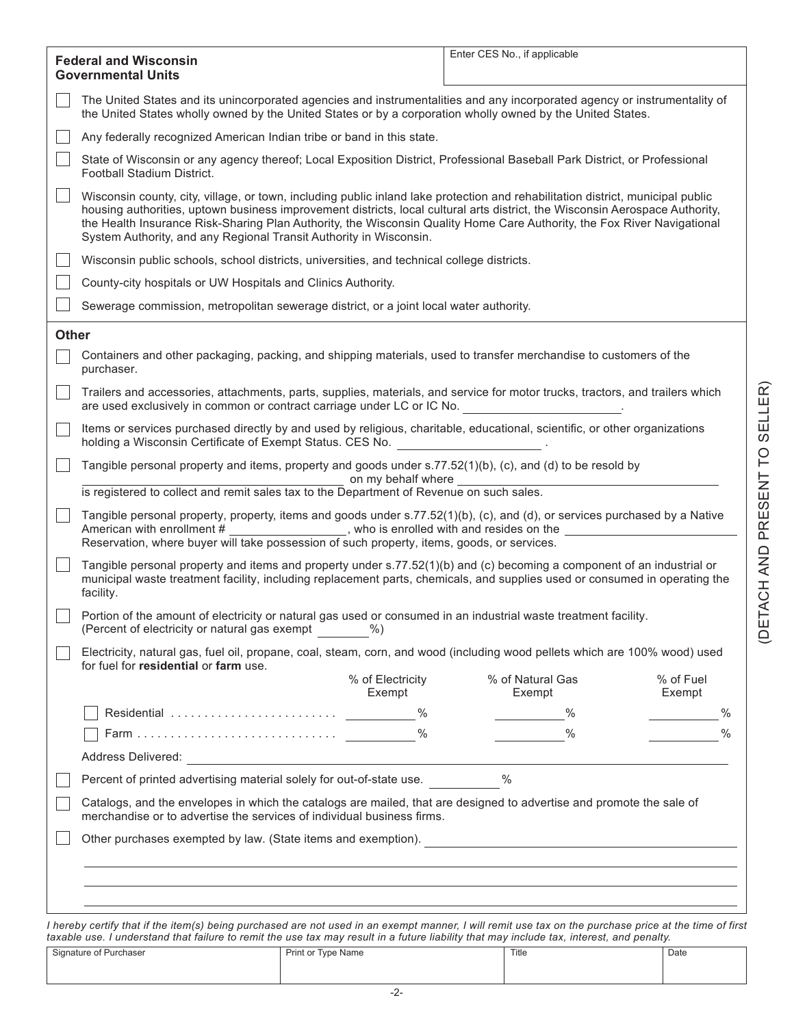|              | <b>Federal and Wisconsin</b>                                                                                                                                                                                                                                                                                                                                                                                                                                     |                            | Enter CES No., if applicable |                     |
|--------------|------------------------------------------------------------------------------------------------------------------------------------------------------------------------------------------------------------------------------------------------------------------------------------------------------------------------------------------------------------------------------------------------------------------------------------------------------------------|----------------------------|------------------------------|---------------------|
|              | <b>Governmental Units</b>                                                                                                                                                                                                                                                                                                                                                                                                                                        |                            |                              |                     |
|              | The United States and its unincorporated agencies and instrumentalities and any incorporated agency or instrumentality of<br>the United States wholly owned by the United States or by a corporation wholly owned by the United States.                                                                                                                                                                                                                          |                            |                              |                     |
|              | Any federally recognized American Indian tribe or band in this state.                                                                                                                                                                                                                                                                                                                                                                                            |                            |                              |                     |
|              | State of Wisconsin or any agency thereof; Local Exposition District, Professional Baseball Park District, or Professional<br>Football Stadium District.                                                                                                                                                                                                                                                                                                          |                            |                              |                     |
|              | Wisconsin county, city, village, or town, including public inland lake protection and rehabilitation district, municipal public<br>housing authorities, uptown business improvement districts, local cultural arts district, the Wisconsin Aerospace Authority,<br>the Health Insurance Risk-Sharing Plan Authority, the Wisconsin Quality Home Care Authority, the Fox River Navigational<br>System Authority, and any Regional Transit Authority in Wisconsin. |                            |                              |                     |
|              | Wisconsin public schools, school districts, universities, and technical college districts.                                                                                                                                                                                                                                                                                                                                                                       |                            |                              |                     |
|              | County-city hospitals or UW Hospitals and Clinics Authority.                                                                                                                                                                                                                                                                                                                                                                                                     |                            |                              |                     |
|              | Sewerage commission, metropolitan sewerage district, or a joint local water authority.                                                                                                                                                                                                                                                                                                                                                                           |                            |                              |                     |
| <b>Other</b> |                                                                                                                                                                                                                                                                                                                                                                                                                                                                  |                            |                              |                     |
|              | Containers and other packaging, packing, and shipping materials, used to transfer merchandise to customers of the<br>purchaser.                                                                                                                                                                                                                                                                                                                                  |                            |                              |                     |
|              | Trailers and accessories, attachments, parts, supplies, materials, and service for motor trucks, tractors, and trailers which<br>are used exclusively in common or contract carriage under LC or IC No.                                                                                                                                                                                                                                                          |                            |                              |                     |
|              | Items or services purchased directly by and used by religious, charitable, educational, scientific, or other organizations<br>holding a Wisconsin Certificate of Exempt Status. CES No.                                                                                                                                                                                                                                                                          |                            |                              |                     |
|              | Tangible personal property and items, property and goods under s.77.52(1)(b), (c), and (d) to be resold by                                                                                                                                                                                                                                                                                                                                                       | on my behalf where         |                              |                     |
|              | is registered to collect and remit sales tax to the Department of Revenue on such sales.                                                                                                                                                                                                                                                                                                                                                                         |                            |                              |                     |
|              | Tangible personal property, property, items and goods under s.77.52(1)(b), (c), and (d), or services purchased by a Native<br>American with enrollment # ___________________, who is enrolled with and resides on the<br>Reservation, where buyer will take possession of such property, items, goods, or services.                                                                                                                                              |                            |                              |                     |
|              | Tangible personal property and items and property under s.77.52(1)(b) and (c) becoming a component of an industrial or<br>municipal waste treatment facility, including replacement parts, chemicals, and supplies used or consumed in operating the<br>facility.                                                                                                                                                                                                |                            |                              |                     |
|              | Portion of the amount of electricity or natural gas used or consumed in an industrial waste treatment facility.<br>(Percent of electricity or natural gas exempt                                                                                                                                                                                                                                                                                                 | $%$ )                      |                              |                     |
|              | Electricity, natural gas, fuel oil, propane, coal, steam, corn, and wood (including wood pellets which are 100% wood) used<br>for fuel for residential or farm use.                                                                                                                                                                                                                                                                                              |                            |                              |                     |
|              |                                                                                                                                                                                                                                                                                                                                                                                                                                                                  | % of Electricity<br>Exempt | % of Natural Gas<br>Exempt   | % of Fuel<br>Exempt |
|              |                                                                                                                                                                                                                                                                                                                                                                                                                                                                  |                            | $\%$                         | $\%$                |
|              |                                                                                                                                                                                                                                                                                                                                                                                                                                                                  |                            | $\%$                         | $\frac{0}{0}$       |
|              | Address Delivered: <u>Address Delivered:</u> Address Delivered: Address Delivered: Address Delivered: Address Delivered: Address Delivered: Address Delivered: Address Delivered: Address Delivered: Address Delivered: Address Del                                                                                                                                                                                                                              |                            |                              |                     |
|              | Percent of printed advertising material solely for out-of-state use.                                                                                                                                                                                                                                                                                                                                                                                             |                            | %                            |                     |
|              | Catalogs, and the envelopes in which the catalogs are mailed, that are designed to advertise and promote the sale of<br>merchandise or to advertise the services of individual business firms.                                                                                                                                                                                                                                                                   |                            |                              |                     |
|              |                                                                                                                                                                                                                                                                                                                                                                                                                                                                  |                            |                              |                     |
|              |                                                                                                                                                                                                                                                                                                                                                                                                                                                                  |                            |                              |                     |
|              |                                                                                                                                                                                                                                                                                                                                                                                                                                                                  |                            |                              |                     |
|              |                                                                                                                                                                                                                                                                                                                                                                                                                                                                  |                            |                              |                     |
|              | I hereby certify that if the item(s) being purchased are not used in an exempt manner, I will remit use tax on the purchase price at the time of first                                                                                                                                                                                                                                                                                                           |                            |                              |                     |

| taxable use. I understand that failure to remit the use tax may result in a future liability that may include tax, interest, and penalty. |                    |       |      |
|-------------------------------------------------------------------------------------------------------------------------------------------|--------------------|-------|------|
| Signature of Purchaser                                                                                                                    | Print or Type Name | Title | Date |
|                                                                                                                                           |                    |       |      |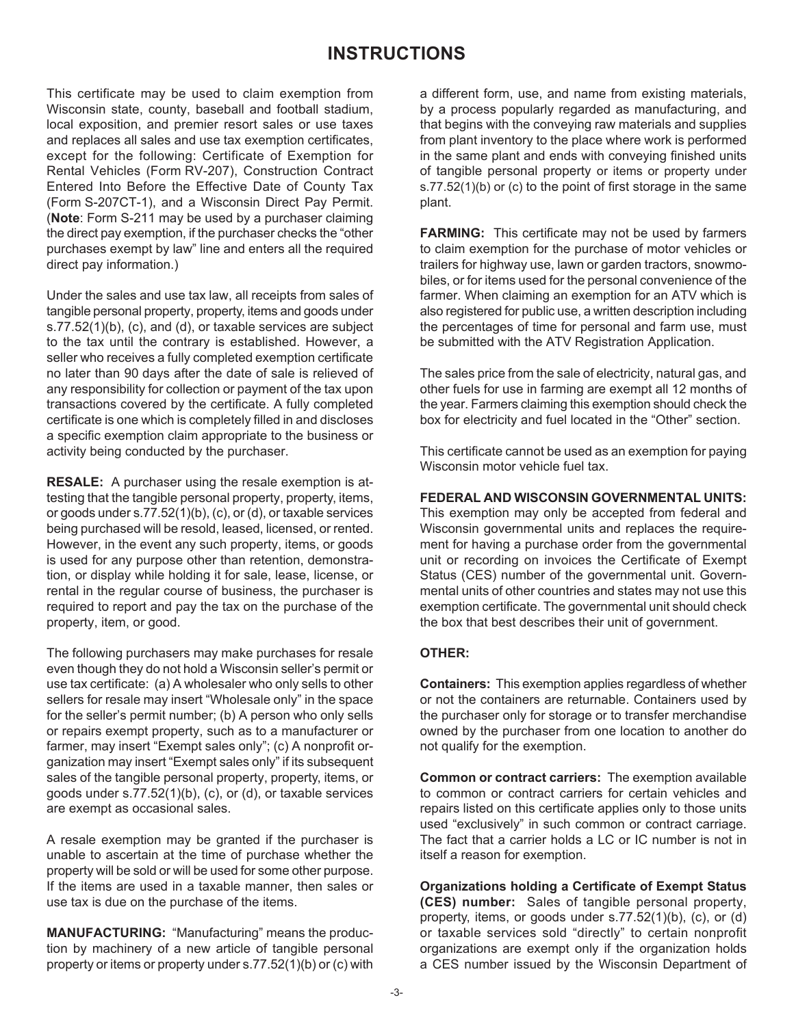# **INSTRUCTIONS**

This certificate may be used to claim exemption from Wisconsin state, county, baseball and football stadium, local exposition, and premier resort sales or use taxes and replaces all sales and use tax exemption certificates, except for the following: Certificate of Exemption for Rental Vehicles (Form RV‑207), Construction Contract Entered Into Before the Effective Date of County Tax (Form S‑207CT‑1), and a Wisconsin Direct Pay Permit. (**Note**: Form S-211 may be used by a purchaser claiming the direct pay exemption, if the purchaser checks the "other purchases exempt by law" line and enters all the required direct pay information.)

Under the sales and use tax law, all receipts from sales of tangible personal property, property, items and goods under s.77.52(1)(b), (c), and (d), or taxable services are subject to the tax until the contrary is established. However, a seller who receives a fully completed exemption certificate no later than 90 days after the date of sale is relieved of any responsibility for collection or payment of the tax upon transactions covered by the certificate. A fully completed certificate is one which is completely filled in and discloses a specific exemption claim appropriate to the business or activity being conducted by the purchaser.

**RESALE:** A purchaser using the resale exemption is attesting that the tangible personal property, property, items, or goods under s.77.52(1)(b), (c), or (d), or taxable services being purchased will be resold, leased, licensed, or rented. However, in the event any such property, items, or goods is used for any purpose other than retention, demonstration, or display while holding it for sale, lease, license, or rental in the regular course of business, the purchaser is required to report and pay the tax on the purchase of the property, item, or good.

The following purchasers may make purchases for resale even though they do not hold a Wisconsin seller's permit or use tax certificate: (a) A wholesaler who only sells to other sellers for resale may insert "Wholesale only" in the space for the seller's permit number; (b) A person who only sells or repairs exempt property, such as to a manufacturer or farmer, may insert "Exempt sales only"; (c) A nonprofit organization may insert "Exempt sales only" if its subsequent sales of the tangible personal property, property, items, or goods under s.77.52(1)(b), (c), or (d), or taxable services are exempt as occasional sales.

A resale exemption may be granted if the purchaser is unable to ascertain at the time of purchase whether the property will be sold or will be used for some other purpose. If the items are used in a taxable manner, then sales or use tax is due on the purchase of the items.

**MANUFACTURING:** "Manufacturing" means the production by machinery of a new article of tangible personal property or items or property under s.77.52(1)(b) or (c) with a different form, use, and name from existing materials, by a process popularly regarded as manufacturing, and that begins with the conveying raw materials and supplies from plant inventory to the place where work is performed in the same plant and ends with conveying finished units of tangible personal property or items or property under s.77.52(1)(b) or (c) to the point of first storage in the same plant.

**FARMING:** This certificate may not be used by farmers to claim exemption for the purchase of motor vehicles or trailers for highway use, lawn or garden tractors, snowmobiles, or for items used for the personal convenience of the farmer. When claiming an exemption for an ATV which is also registered for public use, a written description including the percentages of time for personal and farm use, must be submitted with the ATV Registration Application.

The sales price from the sale of electricity, natural gas, and other fuels for use in farming are exempt all 12 months of the year. Farmers claiming this exemption should check the box for electricity and fuel located in the "Other" section.

This certificate cannot be used as an exemption for paying Wisconsin motor vehicle fuel tax.

## **FEDERAL AND WISCONSIN GOVERNMENTAL UNITS:**

This exemption may only be accepted from federal and Wisconsin governmental units and replaces the requirement for having a purchase order from the governmental unit or recording on invoices the Certificate of Exempt Status (CES) number of the governmental unit. Governmental units of other countries and states may not use this exemption certificate. The governmental unit should check the box that best describes their unit of government.

### **OTHER:**

**Containers:** This exemption applies regardless of whether or not the containers are returnable. Containers used by the purchaser only for storage or to transfer merchandise owned by the purchaser from one location to another do not qualify for the exemption.

**Common or contract carriers:** The exemption available to common or contract carriers for certain vehicles and repairs listed on this certificate applies only to those units used "exclusively" in such common or contract carriage. The fact that a carrier holds a LC or IC number is not in itself a reason for exemption.

**Organizations holding a Certificate of Exempt Status (CES) number:** Sales of tangible personal property, property, items, or goods under s.77.52(1)(b), (c), or (d) or taxable services sold "directly" to certain nonprofit organizations are exempt only if the organization holds a CES number issued by the Wisconsin Department of